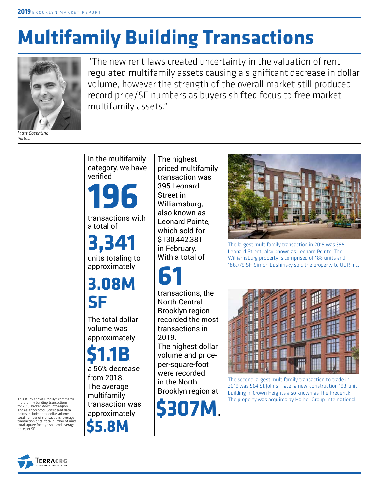# **Multifamily Building Transactions**



*Matt Cosentino Partner*

"The new rent laws created uncertainty in the valuation of rent regulated multifamily assets causing a significant decrease in dollar volume, however the strength of the overall market still produced record price/SF numbers as buyers shifted focus to free market multifamily assets."

In the multifamily category, we have verified

**196**

transactions with a total of

**3,341** units totaling to approximately

**3.08M SF** .

The total dollar volume was approximately

**\$5.8M** . **\$1.1B**. a 56% decrease from 2018. The average multifamily transaction was approximately

The highest priced multifamily transaction was 395 Leonard Street in Williamsburg, also known as Leonard Pointe, which sold for \$130,442,381 in February. With a total of

**61**

transactions, the North-Central Brooklyn region recorded the most transactions in 2019. The highest dollar

volume and priceper-square-foot were recorded in the North Brooklyn region at



The largest multifamily transaction in 2019 was 395 Leonard Street, also known as Leonard Pointe. The Williamsburg property is comprised of 188 units and 186,779 SF. Simon Dushinsky sold the property to UDR Inc.



The second largest multifamily transaction to trade in 2019 was 564 St Johns Place, a new-construction 193-unit building in Crown Heights also known as The Frederick. The property was acquired by Harbor Group International.

This study shows Brooklyn commercial<br>
for 2019, broken down into region<br>
and neighborhood. Considered data<br>
points include: total dollar volume.<br> **ADDPN** multifamily building transactions for 2019, broken down into region and neighborhood. Considered data points include: total dollar volume, total number of transactions, average transaction price, total number of units, total square footage sold and average price per SF.

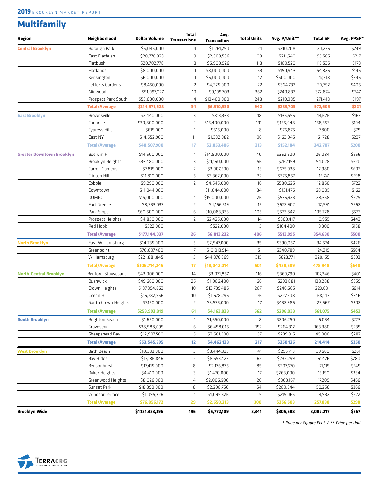### **Multifamily**

| Region                           | Neighborhood         | <b>Dollar Volume</b> | <b>Total</b><br><b>Transactions</b> | Avg.<br><b>Transaction</b> | <b>Total Units</b> | Avg. P/Unit** | <b>Total SF</b> | Avg. PPSF* |
|----------------------------------|----------------------|----------------------|-------------------------------------|----------------------------|--------------------|---------------|-----------------|------------|
| <b>Central Brooklyn</b>          | <b>Borough Park</b>  | \$5,045,000          | $\overline{4}$                      | \$1,261,250                | 24                 | \$210,208     | 20.276          | \$249      |
|                                  | East Flatbush        | \$20,776,823         | 9                                   | \$2,308,536                | 108                | \$211,540     | 95,565          | \$217      |
|                                  | Flatbush             | \$20,702,778         | 3                                   | \$6,900,926                | 113                | \$189,520     | 119,536         | \$173      |
|                                  | Flatlands            | \$8,000,000          | $\mathbf{1}$                        | \$8,000,000                | 53                 | \$150,943     | 54,826          | \$146      |
|                                  | Kensington           | \$6,000,000          | $\mathbf{1}$                        | \$6,000,000                | 12                 | \$500,000     | 17,318          | \$346      |
|                                  | Lefferts Gardens     | \$8,450,000          | $\overline{2}$                      | \$4,225,000                | 22                 | \$364,732     | 20,792          | \$406      |
|                                  | Midwood              | \$91,997,027         | 10                                  | \$9,199,703                | 362                | \$240,832     | 372,874         | \$247      |
|                                  | Prospect Park South  | \$53,600,000         | 4                                   | \$13,400,000               | 248                | \$210,985     | 271,418         | \$197      |
|                                  | <b>Total/Average</b> | \$214,571,628        | 34                                  | \$6,310,930                | 942                | \$233,703     | 972,605         | \$221      |
| <b>East Brooklyn</b>             | Brownsville          | \$2,440,000          | З                                   | \$813,333                  | 18                 | \$135,556     | 14,626          | \$167      |
|                                  | Canarsie             | \$30,800,000         | $\overline{2}$                      | \$15,400,000               | 191                | \$155,048     | 158,553         | \$194      |
|                                  | Cypress Hills        | \$615,000            | $\mathbf{1}$                        | \$615,000                  | 8                  | \$76,875      | 7,800           | \$79       |
|                                  | East NY              | \$14,652,900         | 11                                  | \$1,332,082                | 96                 | \$163,045     | 61,728          | \$237      |
|                                  | <b>Total/Average</b> | \$48,507,900         | 17                                  | \$2,853,406                | 313                | \$152,184     | 242,707         | \$200      |
| <b>Greater Downtown Brooklyn</b> | Boerum Hill          | \$14,500,000         | $\mathbf{1}$                        | \$14,500,000               | 40                 | \$362,500     | 26,084          | \$556      |
|                                  | Brooklyn Heights     | \$33,480,000         | 3                                   | \$11,160,000               | 56                 | \$762,159     | 54.028          | \$620      |
|                                  | Carroll Gardens      | \$7,815,000          | $\overline{2}$                      | \$3,907,500                | 13                 | \$675,938     | 12,980          | \$602      |
|                                  | Clinton Hill         | \$11,810,000         | 5                                   | \$2,362,000                | 32                 | \$375,857     | 19,741          | \$598      |
|                                  | Cobble Hill          | \$9,290,000          | $\overline{2}$                      | \$4,645,000                | 16                 | \$580,625     | 12.860          | \$722      |
|                                  | Downtown             | \$11,044,000         | $\mathbf{1}$                        | \$11,044,000               | 84                 | \$131,476     | 68,005          | \$162      |
|                                  | <b>DUMBO</b>         | \$15,000,000         | $\mathbf{1}$                        | \$15,000,000               | 26                 | \$576,923     | 28,358          | \$529      |
|                                  | Fort Greene          | \$8,333,037          | $\overline{2}$                      | \$4,166,519                | 15                 | \$672,902     | 12,591          | \$662      |
|                                  | Park Slope           | \$60,500,000         | 6                                   | \$10,083,333               | 105                | \$573,842     | 105,728         | \$572      |
|                                  | Prospect Heights     | \$4,850,000          | $\mathsf{Z}$                        | \$2,425,000                | 14                 | \$360,417     | 10,955          | \$443      |
|                                  | Red Hook             | \$522,000            | $\mathbf{1}$                        | \$522,000                  | 5                  | \$104,400     | 3,300           | \$158      |
|                                  | <b>Total/Average</b> | \$177,144,037        | 26                                  | \$6,813,232                | 406                | \$513,995     | 354,630         | \$500      |
| <b>North Brooklyn</b>            | East Williamsburg    | \$14,735,000         | 5                                   | \$2,947,000                | 35                 | \$390,057     | 34,574          | \$426      |
|                                  | Greenpoint           | \$70,097,400         | $\overline{7}$                      | \$10,013,914               | 151                | \$340,789     | 124,219         | \$564      |
|                                  | Williamsburg         | \$221,881,845        | 5                                   | \$44,376,369               | 315                | \$623,771     | 320,155         | \$693      |
|                                  | <b>Total/Average</b> | \$306,714,245        | 17                                  | \$18,042,014               | 501                | \$438,509     | 478,948         | \$640      |
| <b>North-Central Brooklyn</b>    | Bedford-Stuyvesant   | \$43,006,000         | 14                                  | \$3,071,857                | 116                | \$369,790     | 107,346         | \$401      |
|                                  | <b>Bushwick</b>      | \$49,660,000         | 25                                  | \$1,986,400                | 166                | \$293,881     | 138,288         | \$359      |
|                                  | Crown Heights        | \$137,394,863        | 10                                  | \$13,739,486               | 287                | \$246,665     | 223,631         | \$614      |
|                                  | Ocean Hill           | \$16,782,956         | 10                                  | \$1,678,296                | 76                 | \$227,508     | 68,143          | \$246      |
|                                  | South Crown Heights  | \$7,150,000          | $\overline{2}$                      | \$3,575,000                | 17                 | \$432,986     | 23,667          | \$302      |
|                                  | <b>Total/Average</b> | \$253,993,819        | 61                                  | \$4,163,833                | 662                | \$296,033     | 561,075         | \$453      |
| <b>South Brooklyn</b>            | Brighton Beach       | \$1,650,000          | $\mathbf{1}$                        | \$1,650,000                | 8                  | \$206,250     | 6,034           | \$273      |
|                                  | Gravesend            | \$38,988,095         | 6                                   | \$6,498,016                | 152                | \$264,312     | 163,380         | \$239      |
|                                  | Sheepshead Bay       | \$12,907,500         | 5                                   | \$2,581,500                | 57                 | \$239,815     | 45,000          | \$287      |
|                                  | <b>Total/Average</b> | \$53,545,595         | 12                                  | \$4,462,133                | 217                | \$250,126     | 214,414         | \$250      |
| <b>West Brooklyn</b>             | Bath Beach           | \$10,333,000         | 3                                   | \$3,444,333                | 41                 | \$255,713     | 39,660          | \$261      |
|                                  | Bay Ridge            | \$17,186,846         | $\overline{2}$                      | \$8,593,423                | 62                 | \$235,299     | 61,476          | \$280      |
|                                  | Bensonhurst          | \$17,415,000         | 8                                   | \$2,176,875                | 85                 | \$207,670     | 71,115          | \$245      |
|                                  | Dyker Heights        | \$4,410,000          | 3                                   | \$1,470,000                | 17                 | \$263,000     | 13,190          | \$334      |
|                                  | Greenwood Heights    | \$8,026,000          | 4                                   | \$2,006,500                | 26                 | \$303,167     | 17,209          | \$466      |
|                                  | Sunset Park          | \$18,390,000         | 8                                   | \$2,298,750                | 64                 | \$289,844     | 50,256          | \$366      |
|                                  | Windsor Terrace      | \$1,095,326          | $\mathbf{1}$                        | \$1,095,326                | 5                  | \$219,065     | 4,932           | \$222      |
|                                  | <b>Total/Average</b> | \$76,856,172         | 29                                  | \$2,650,213                | 300                | \$256,503     | 257,838         | \$298      |
| <b>Brooklyn Wide</b>             |                      | \$1,131,333,396      | 196                                 | \$5,772,109                | 3,341              | \$305,688     | 3,082,217       | \$367      |

**\*** *Price per Square Foot /* **\*\*** *Price per Unit*